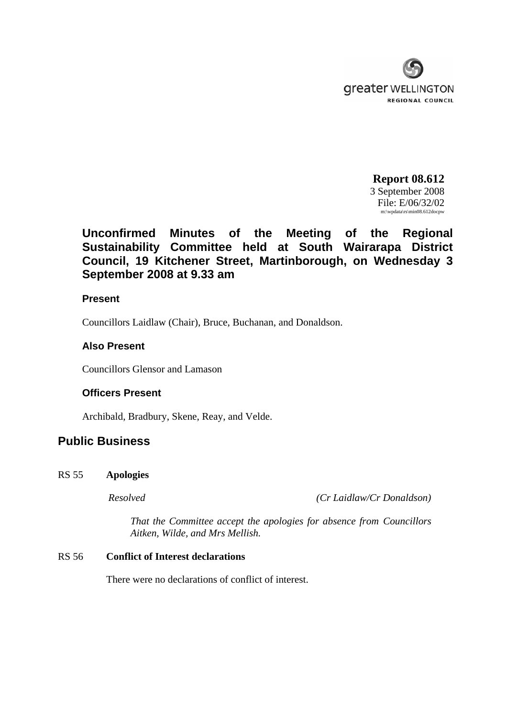

**Report 08.612** 3 September 2008 File: E/06/32/02 m:\wpdata\rs\min08.612docpw

# **Unconfirmed Minutes of the Meeting of the Regional Sustainability Committee held at South Wairarapa District Council, 19 Kitchener Street, Martinborough, on Wednesday 3 September 2008 at 9.33 am**

## **Present**

Councillors Laidlaw (Chair), Bruce, Buchanan, and Donaldson.

# **Also Present**

Councillors Glensor and Lamason

# **Officers Present**

Archibald, Bradbury, Skene, Reay, and Velde.

# **Public Business**

RS 55 **Apologies** 

*Resolved (Cr Laidlaw/Cr Donaldson)*

*That the Committee accept the apologies for absence from Councillors Aitken, Wilde, and Mrs Mellish.* 

# RS 56 **Conflict of Interest declarations**

There were no declarations of conflict of interest.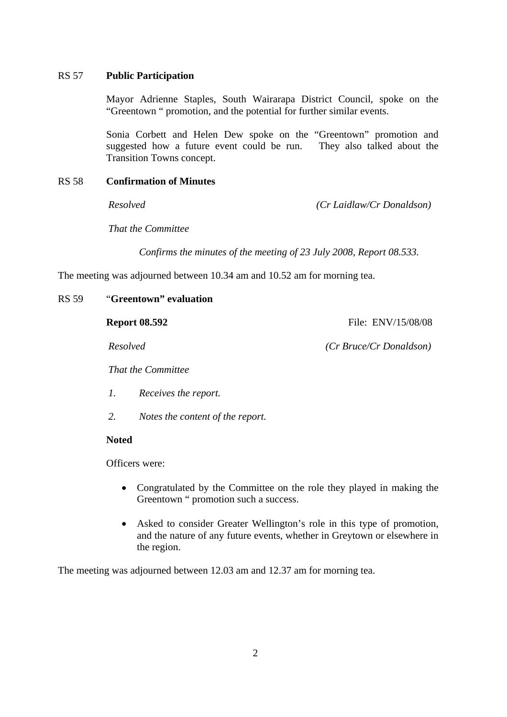### RS 57 **Public Participation**

Mayor Adrienne Staples, South Wairarapa District Council, spoke on the "Greentown " promotion, and the potential for further similar events.

Sonia Corbett and Helen Dew spoke on the "Greentown" promotion and suggested how a future event could be run. They also talked about the Transition Towns concept.

#### RS 58 **Confirmation of Minutes**

*Resolved (Cr Laidlaw/Cr Donaldson)*

*That the Committee* 

 *Confirms the minutes of the meeting of 23 July 2008, Report 08.533.* 

The meeting was adjourned between 10.34 am and 10.52 am for morning tea.

#### RS 59 "**Greentown" evaluation**

| <b>Report 08.592</b> |  |  |  |  |
|----------------------|--|--|--|--|
|----------------------|--|--|--|--|

 **Report 08.592** File: ENV/15/08/08

*Resolved (Cr Bruce/Cr Donaldson)*

*That the Committee* 

- *1. Receives the report.*
- *2. Notes the content of the report.*

#### **Noted**

Officers were:

- Congratulated by the Committee on the role they played in making the Greentown " promotion such a success.
- Asked to consider Greater Wellington's role in this type of promotion, and the nature of any future events, whether in Greytown or elsewhere in the region.

The meeting was adjourned between 12.03 am and 12.37 am for morning tea.